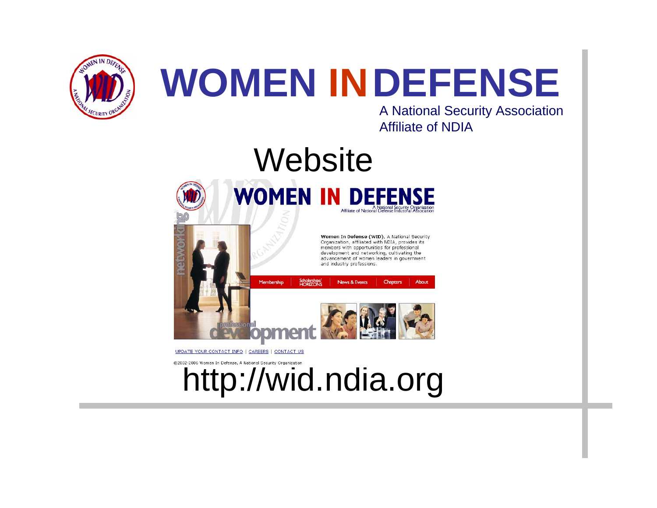

# **WOMEN INDEFENSE**

A National Security Association Affiliate of NDIA



@2002-2006 Women In Defense, A National Security Organization

http://wid.ndia.org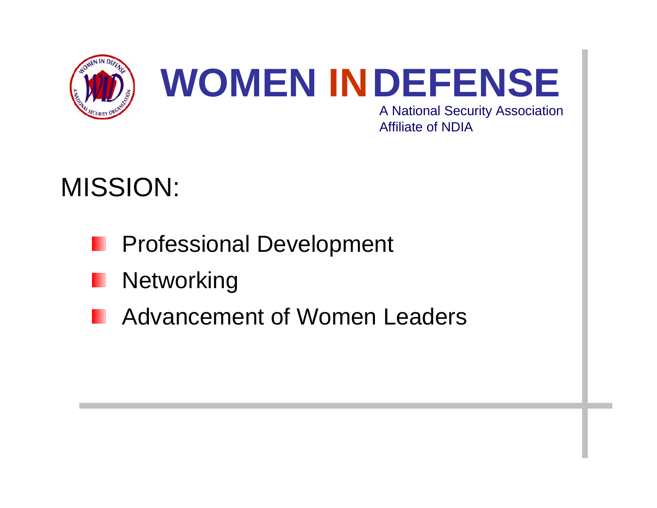

### MISSION:

- Professional Development
- **Networking**
- Advancement of Women Leaders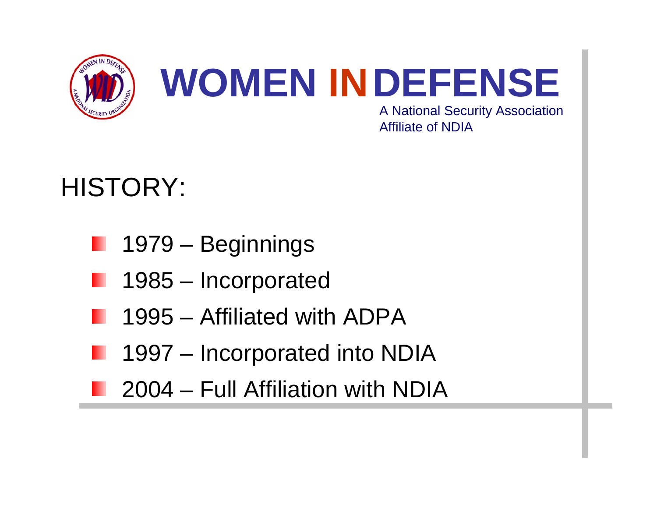

# **WOMEN INDEFENSE**

A National Security Association Affiliate of NDIA

### HISTORY:

- 1979 Beginnings H.
	- 1985 Incorporated
- 1995 Affiliated with ADPA
- 1997 Incorporated into NDIA
- 2004 Full Affiliation with NDIA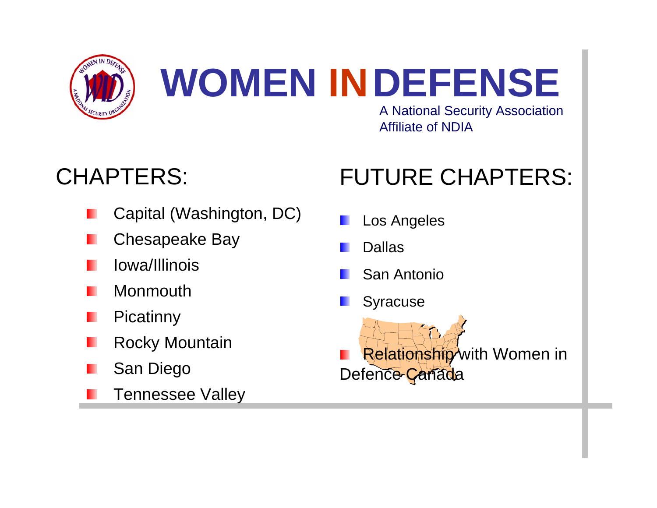

# **WOMEN INDEFENSE**

A National Security Association Affiliate of NDIA

#### CHAPTERS:

- Capital (Washington, DC)
- Chesapeake Bay
- Iowa/Illinois
- **Monmouth**
- **Picatinny**
- Rocky Mountain
- San Diego
- Tennessee Valley

#### FUTURE CHAPTERS:

- Los Angeles
- Dallas
- San Antonio
- Syracuse
- Relationship with Women in Defence Canada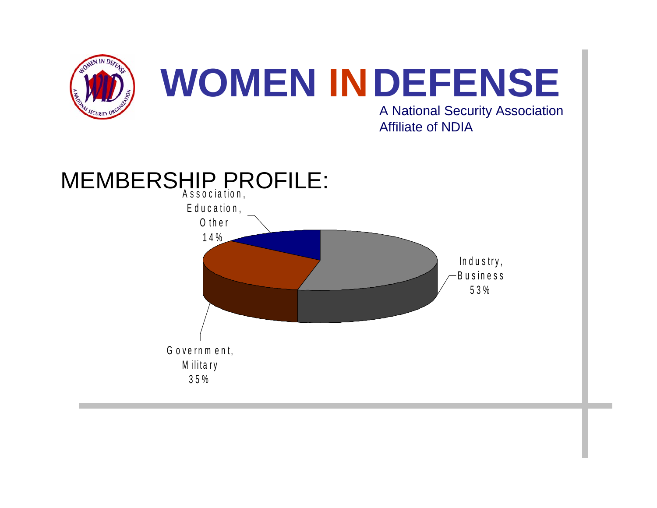

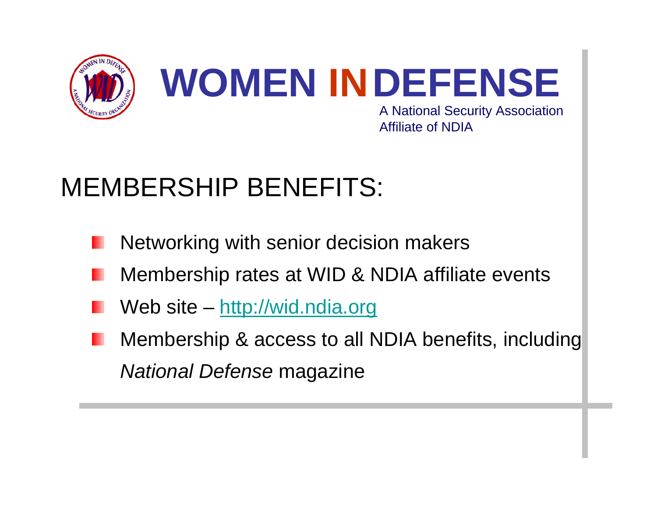

### MEMBERSHIP BENEFITS:

- Networking with senior decision makers
- Membership rates at WID & NDIA affiliate events
- Web site <u>http://wid.ndia.org</u>
- Membership & access to all NDIA benefits, including *National Defense* magazine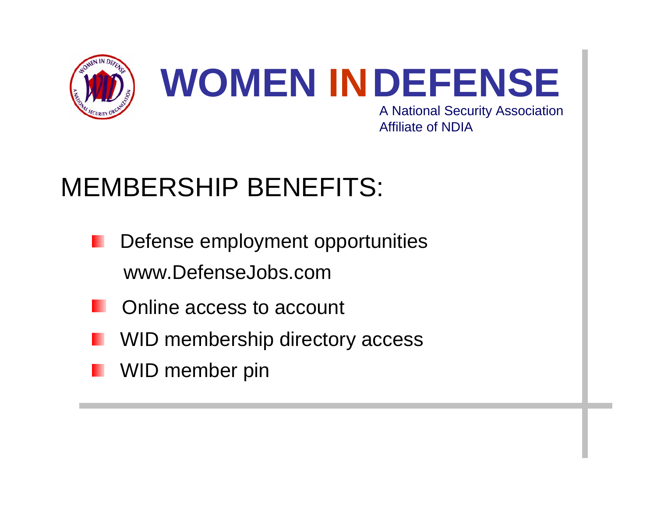

### MEMBERSHIP BENEFITS:

- Defense employment opportunities www.DefenseJobs.com
- Online access to account
- WID membership directory access
- WID member pin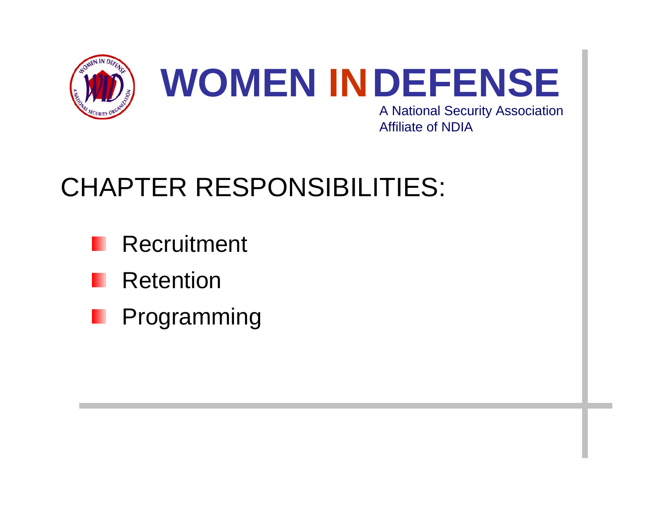

### CHAPTER RESPONSIBILITIES:

- **Recruitment**
- Retention
- Programming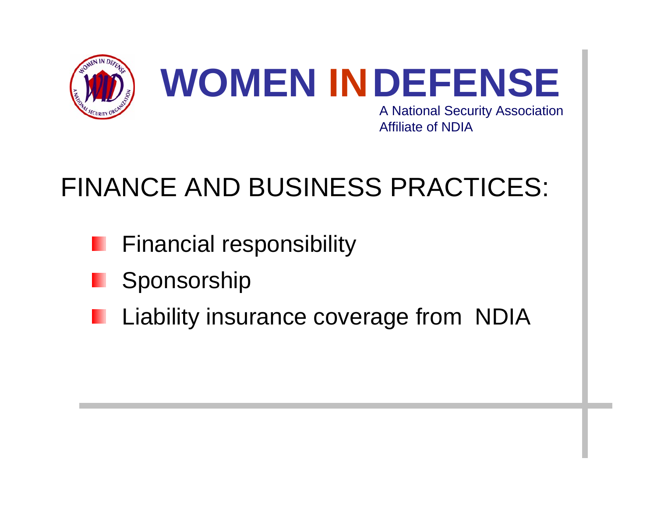

## FINANCE AND BUSINESS PRACTICES:

- Financial responsibility
- Sponsorship
- Liability insurance coverage from NDIA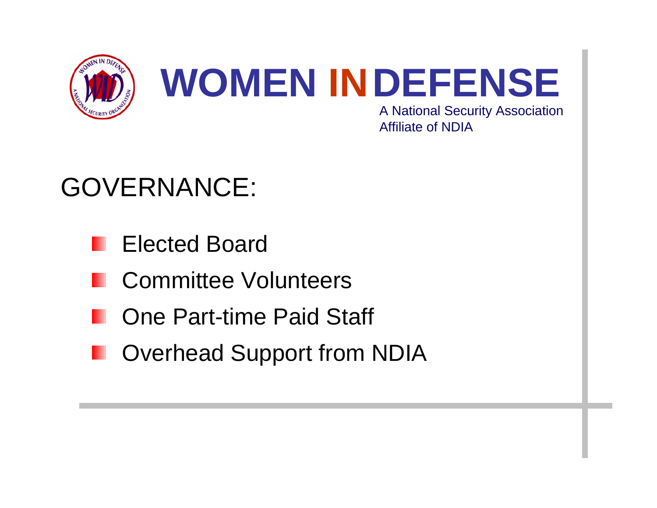

#### GOVERNANCE:

- Elected Board
- Committee Volunteers
- One Part-time Paid Staff
- Overhead Support from NDIA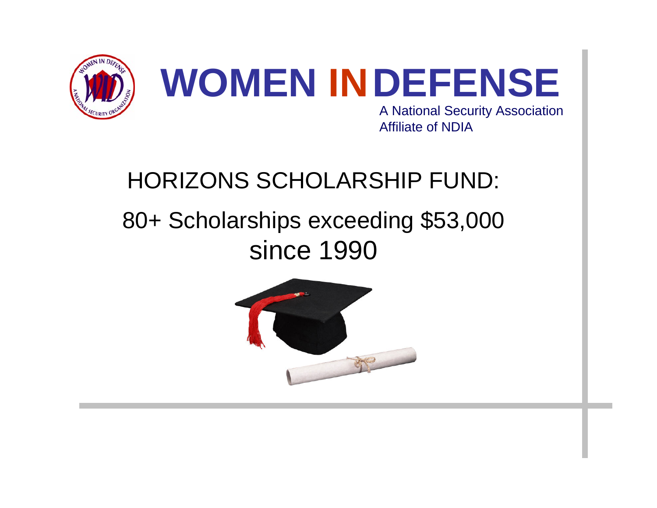

#### HORIZONS SCHOLARSHIP FUND:

#### 80+ Scholarships exceeding \$53,000 since 1990

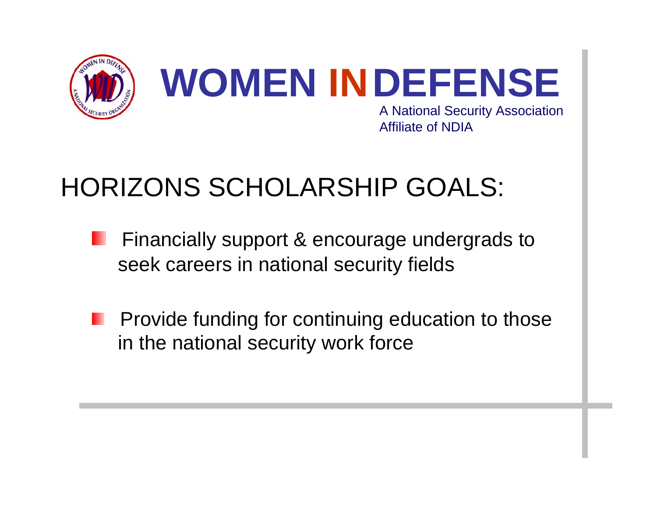

#### HORIZONS SCHOLARSHIP GOALS:

- Financially support & encourage undergrads to seek careers in national security fields
- Provide funding for continuing education to those in the national security work force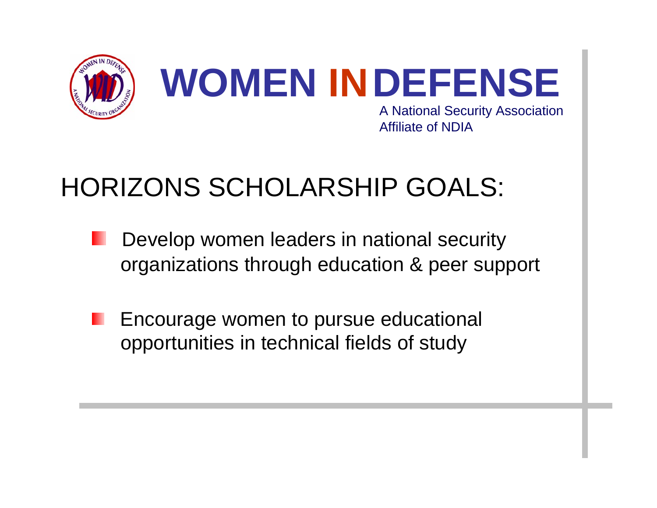

#### HORIZONS SCHOLARSHIP GOALS:

- Develop women leaders in national security organizations through education & peer support
- Encourage women to pursue educational opportunities in technical fields of study